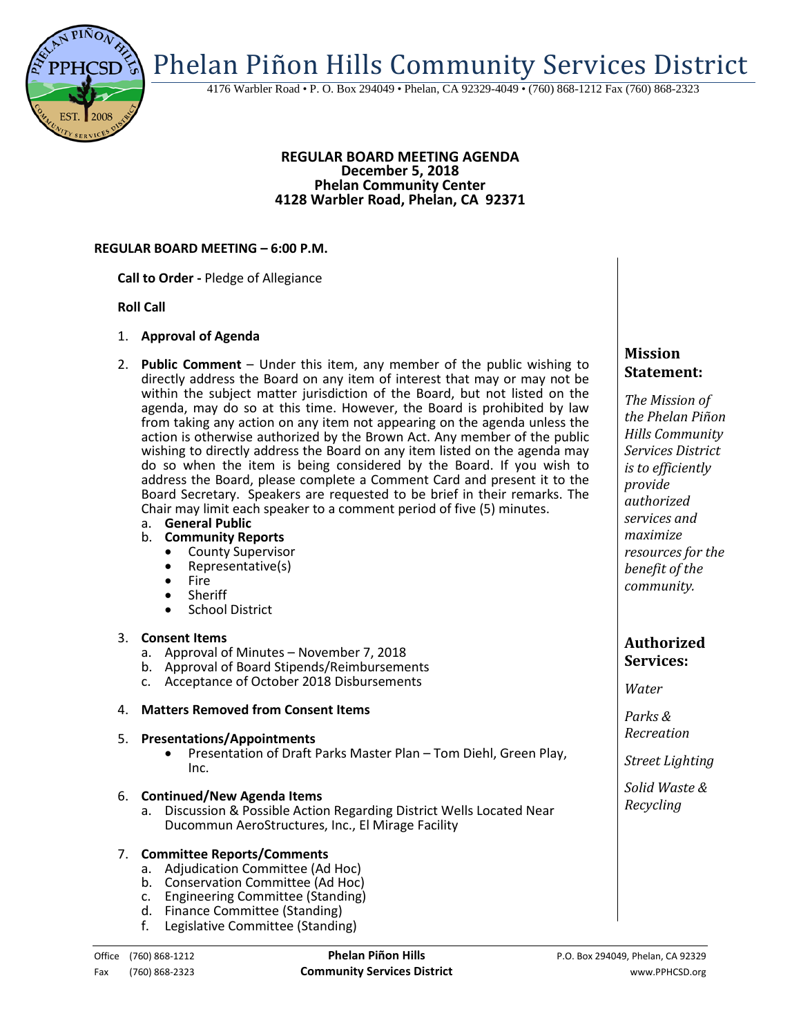

#### **REGULAR BOARD MEETING AGENDA December 5, 2018 Phelan Community Center 4128 Warbler Road, Phelan, CA 92371**

## **REGULAR BOARD MEETING – 6:00 P.M.**

**Call to Order -** Pledge of Allegiance

#### **Roll Call**

- 1. **Approval of Agenda**
- 2. **Public Comment**  Under this item, any member of the public wishing to directly address the Board on any item of interest that may or may not be within the subject matter jurisdiction of the Board, but not listed on the agenda, may do so at this time. However, the Board is prohibited by law from taking any action on any item not appearing on the agenda unless the action is otherwise authorized by the Brown Act. Any member of the public wishing to directly address the Board on any item listed on the agenda may do so when the item is being considered by the Board. If you wish to address the Board, please complete a Comment Card and present it to the Board Secretary. Speakers are requested to be brief in their remarks. The Chair may limit each speaker to a comment period of five (5) minutes.
	- a. **General Public**
	- b. **Community Reports**
		- County Supervisor
		- Representative(s)<br>• Fire<br>• Sheriff
		-
		- Sheriff
		- School District

## 3. **Consent Items**

- a. Approval of Minutes November 7, 2018
- b. Approval of Board Stipends/Reimbursements
- c. Acceptance of October 2018 Disbursements

## 4. **Matters Removed from Consent Items**

5. **Presentations/Appointments** • Presentation of Draft Parks Master Plan – Tom Diehl, Green Play, Inc.

#### 6. **Continued/New Agenda Items**

a. Discussion & Possible Action Regarding District Wells Located Near Ducommun AeroStructures, Inc., El Mirage Facility

## 7. **Committee Reports/Comments**

- a. Adjudication Committee (Ad Hoc)
- b. Conservation Committee (Ad Hoc)
- c. Engineering Committee (Standing)
- d. Finance Committee (Standing)
- f. Legislative Committee (Standing)

# **Mission Statement:**

*The Mission of the Phelan Piñon Hills Community Services District is to efficiently provide authorized services and maximize resources for the benefit of the community.*

# **Authorized Services:**

*Water*

*Parks & Recreation*

*Street Lighting*

*Solid Waste & Recycling*